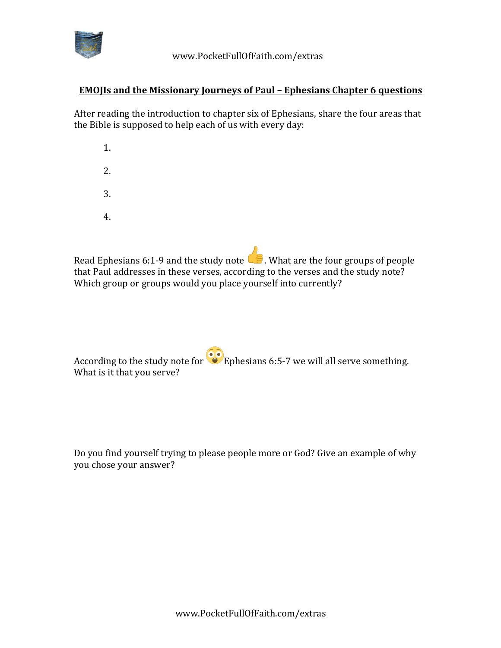

## **EMOJIs and the Missionary Journeys of Paul - Ephesians Chapter 6 questions**

After reading the introduction to chapter six of Ephesians, share the four areas that the Bible is supposed to help each of us with every day:

- 1. 2. 3.
- 4.

Read Ephesians 6:1-9 and the study note  $\mathbb{R}$ . What are the four groups of people that Paul addresses in these verses, according to the verses and the study note? Which group or groups would you place yourself into currently?

According to the study note for  $\odot$  Ephesians 6:5-7 we will all serve something. What is it that you serve?

Do you find yourself trying to please people more or God? Give an example of why you chose your answer?